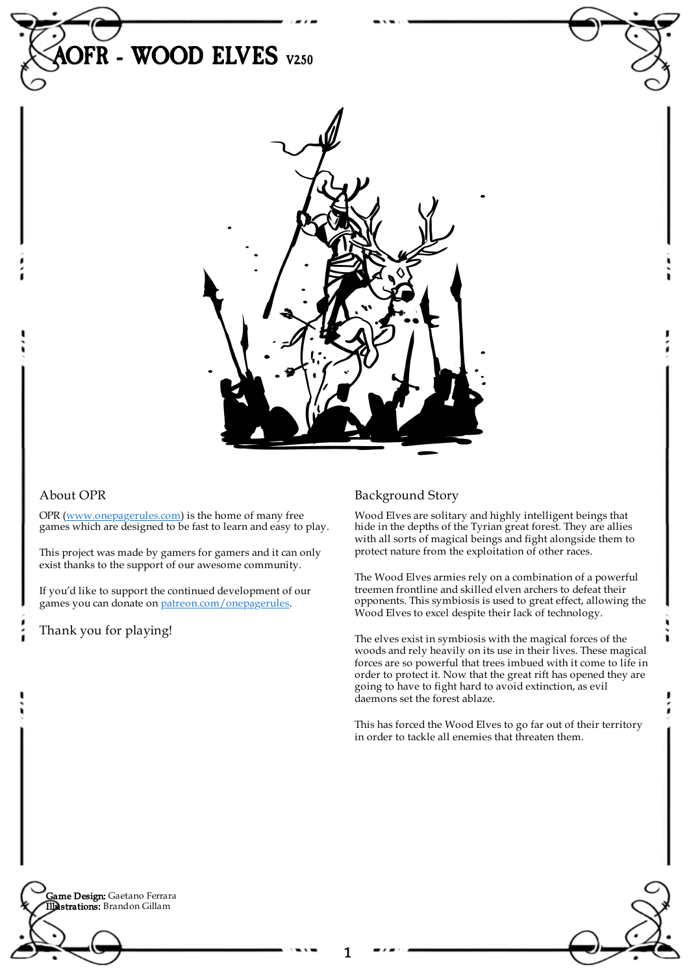

### About OPR

OPR [\(www.onepagerules.com](https://webapp.onepagerules.com/army-books/view/qtuyeoRfXKlNflK0~6/https//www.onepagerules.com)) is the home of many free games which are designed to be fast to learn and easy to play.

This project was made by gamers for gamers and it can only exist thanks to the support of our awesome community.

If you'd like to support the continued development of our games you can donate on [patreon.com/onepagerules](https://www.patreon.com/onepagerules).

Thank you for playing!

## Background Story

Wood Elves are solitary and highly intelligent beings that hide in the depths of the Tyrian great forest. They are allies with all sorts of magical beings and fight alongside them to protect nature from the exploitation of other races.

The Wood Elves armies rely on a combination of a powerful treemen frontline and skilled elven archers to defeat their opponents. This symbiosis is used to great effect, allowing the Wood Elves to excel despite their lack of technology.

The elves exist in symbiosis with the magical forces of the woods and rely heavily on its use in their lives. These magical forces are so powerful that trees imbued with it come to life in order to protect it. Now that the great rift has opened they are going to have to fight hard to avoid extinction, as evil daemons set the forest ablaze.

This has forced the Wood Elves to go far out of their territory in order to tackle all enemies that threaten them.

**Game Design:** Gaetano Ferrara Illustrations: Brandon Gillam